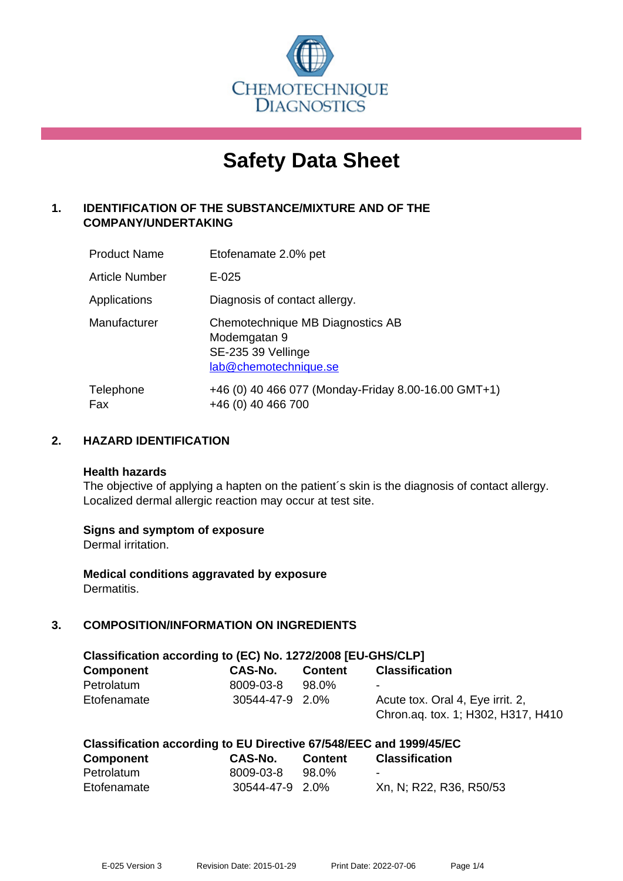

# **Safety Data Sheet**

# **1. IDENTIFICATION OF THE SUBSTANCE/MIXTURE AND OF THE COMPANY/UNDERTAKING**

| <b>Product Name</b>   | Etofenamate 2.0% pet                                                                            |
|-----------------------|-------------------------------------------------------------------------------------------------|
| <b>Article Number</b> | $E - 025$                                                                                       |
| Applications          | Diagnosis of contact allergy.                                                                   |
| Manufacturer          | Chemotechnique MB Diagnostics AB<br>Modemgatan 9<br>SE-235 39 Vellinge<br>lab@chemotechnique.se |
| Telephone<br>Fax      | +46 (0) 40 466 077 (Monday-Friday 8.00-16.00 GMT+1)<br>+46 (0) 40 466 700                       |

## **2. HAZARD IDENTIFICATION**

#### **Health hazards**

The objective of applying a hapten on the patient's skin is the diagnosis of contact allergy. Localized dermal allergic reaction may occur at test site.

## **Signs and symptom of exposure**

Dermal irritation.

**Medical conditions aggravated by exposure** Dermatitis.

# **3. COMPOSITION/INFORMATION ON INGREDIENTS**

| Classification according to (EC) No. 1272/2008 [EU-GHS/CLP] |                 |         |                                    |  |
|-------------------------------------------------------------|-----------------|---------|------------------------------------|--|
| <b>Component</b>                                            | CAS-No.         | Content | <b>Classification</b>              |  |
| Petrolatum                                                  | 8009-03-8       | 98.0%   | $\sim$                             |  |
| Etofenamate                                                 | 30544-47-9 2.0% |         | Acute tox. Oral 4, Eye irrit. 2,   |  |
|                                                             |                 |         | Chron.aq. tox. 1; H302, H317, H410 |  |

| <b>Component</b> | <b>CAS-No.</b>  | <b>Content</b> | <b>Classification</b>   |
|------------------|-----------------|----------------|-------------------------|
| Petrolatum       | 8009-03-8       | 98.0%          | $\sim$                  |
| Etofenamate      | 30544-47-9 2.0% |                | Xn, N; R22, R36, R50/53 |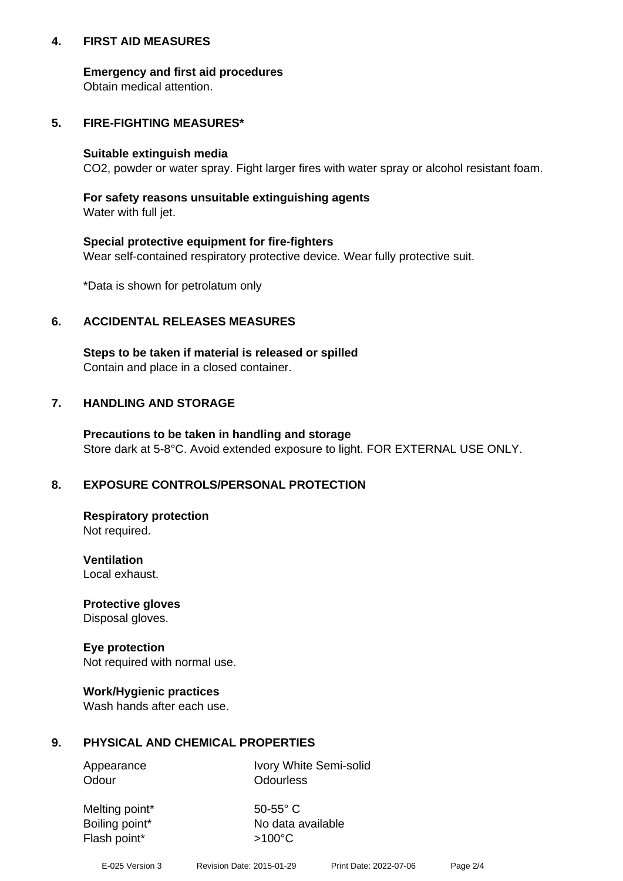## **4. FIRST AID MEASURES**

## **Emergency and first aid procedures**

Obtain medical attention.

# **5. FIRE-FIGHTING MEASURES\***

#### **Suitable extinguish media**

CO2, powder or water spray. Fight larger fires with water spray or alcohol resistant foam.

# **For safety reasons unsuitable extinguishing agents**

Water with full jet.

## **Special protective equipment for fire-fighters**

Wear self-contained respiratory protective device. Wear fully protective suit.

\*Data is shown for petrolatum only

## **6. ACCIDENTAL RELEASES MEASURES**

**Steps to be taken if material is released or spilled** Contain and place in a closed container.

# **7. HANDLING AND STORAGE**

**Precautions to be taken in handling and storage** Store dark at 5-8°C. Avoid extended exposure to light. FOR EXTERNAL USE ONLY.

# **8. EXPOSURE CONTROLS/PERSONAL PROTECTION**

**Respiratory protection** Not required.

**Ventilation** Local exhaust.

**Protective gloves** Disposal gloves.

#### **Eye protection** Not required with normal use.

## **Work/Hygienic practices**

Wash hands after each use.

## **9. PHYSICAL AND CHEMICAL PROPERTIES**

Odour **Odourless** 

Appearance Ivory White Semi-solid

Melting point\* 50-55° C Flash point\*  $>100^{\circ}$ C

Boiling point\* No data available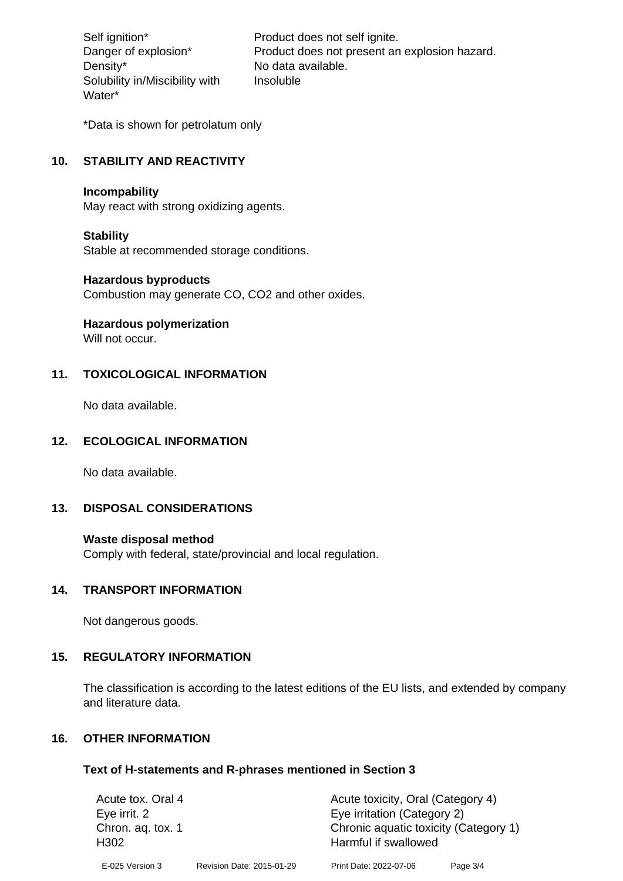Density\* No data available. Solubility in/Miscibility with Water\*

Self ignition\* Product does not self ignite. Danger of explosion\* Product does not present an explosion hazard. Insoluble

\*Data is shown for petrolatum only

# **10. STABILITY AND REACTIVITY**

#### **Incompability**

May react with strong oxidizing agents.

#### **Stability**

Stable at recommended storage conditions.

#### **Hazardous byproducts**

Combustion may generate CO, CO2 and other oxides.

**Hazardous polymerization**

Will not occur.

## **11. TOXICOLOGICAL INFORMATION**

No data available.

## **12. ECOLOGICAL INFORMATION**

No data available.

## **13. DISPOSAL CONSIDERATIONS**

#### **Waste disposal method**

Comply with federal, state/provincial and local regulation.

#### **14. TRANSPORT INFORMATION**

Not dangerous goods.

## **15. REGULATORY INFORMATION**

The classification is according to the latest editions of the EU lists, and extended by company and literature data.

#### **16. OTHER INFORMATION**

#### **Text of H-statements and R-phrases mentioned in Section 3**

| Acute tox. Oral 4                     |                           | Acute toxicity, Oral (Category 4)                             |          |  |
|---------------------------------------|---------------------------|---------------------------------------------------------------|----------|--|
| Eye irrit. 2                          |                           | Eye irritation (Category 2)                                   |          |  |
| Chron. aq. tox. 1<br>H <sub>302</sub> |                           | Chronic aquatic toxicity (Category 1)<br>Harmful if swallowed |          |  |
| E-025 Version 3                       | Revision Date: 2015-01-29 | Print Date: 2022-07-06                                        | Page 3/4 |  |